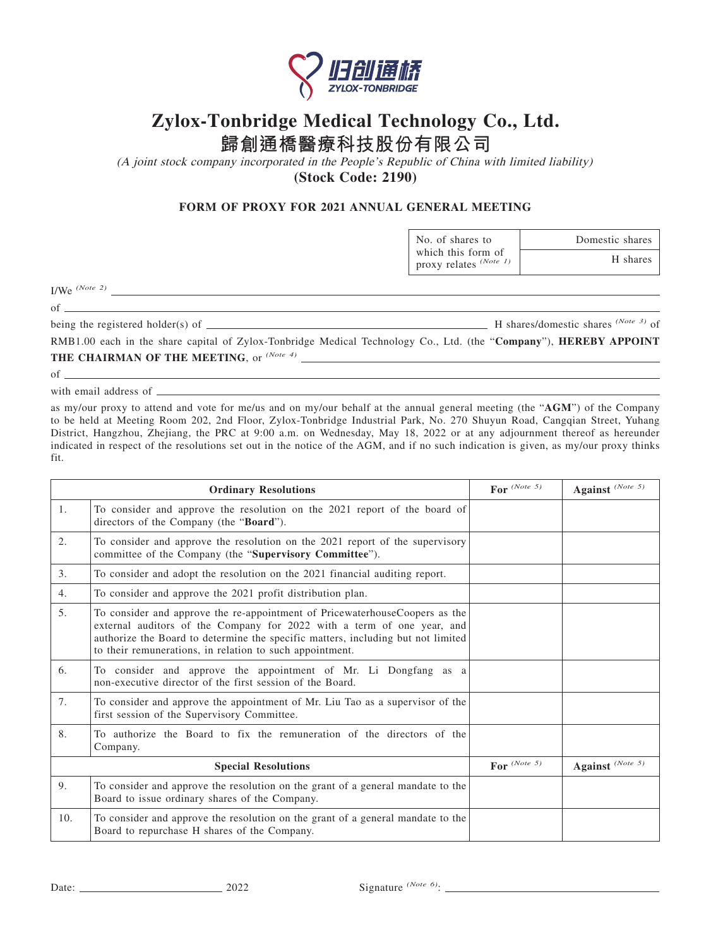

## **Zylox-Tonbridge Medical Technology Co., Ltd.**

**歸創通橋醫療科技股份有限公司**

(A joint stock company incorporated in the People's Republic of China with limited liability) **(Stock Code: 2190)**

## **FORM OF PROXY FOR 2021 ANNUAL GENERAL MEETING**

No. of shares to which this form of proxy relates *(Note 1)*

| I/We $^{(Note 2)}$ |  |  |
|--------------------|--|--|
|--------------------|--|--|

of

being the registered holder(s) of  $\frac{1}{100}$  of  $\frac{1}{100}$  H shares/domestic shares  $\frac{(Note 3)}{100}$  of

Domestic shares

H shares

RMB1.00 each in the share capital of Zylox-Tonbridge Medical Technology Co., Ltd. (the "**Company**"), **HEREBY APPOINT THE CHAIRMAN OF THE MEETING**, or *(Note 4)*

<u> 1989 - Johann Barn, mars eta bainar eta bainar eta baina eta baina eta baina eta baina eta baina eta baina e</u>

 $of$   $\overline{\phantom{0}}$ 

with email address of  $\overline{\phantom{a}}$ 

as my/our proxy to attend and vote for me/us and on my/our behalf at the annual general meeting (the "**AGM**") of the Company to be held at Meeting Room 202, 2nd Floor, Zylox-Tonbridge Industrial Park, No. 270 Shuyun Road, Cangqian Street, Yuhang District, Hangzhou, Zhejiang, the PRC at 9:00 a.m. on Wednesday, May 18, 2022 or at any adjournment thereof as hereunder indicated in respect of the resolutions set out in the notice of the AGM, and if no such indication is given, as my/our proxy thinks fit.

| <b>Ordinary Resolutions</b> |                                                                                                                                                                                                                                                                                                       | For $^{(Note 5)}$ | Against (Note 5)            |
|-----------------------------|-------------------------------------------------------------------------------------------------------------------------------------------------------------------------------------------------------------------------------------------------------------------------------------------------------|-------------------|-----------------------------|
| 1.                          | To consider and approve the resolution on the 2021 report of the board of<br>directors of the Company (the "Board").                                                                                                                                                                                  |                   |                             |
| 2.                          | To consider and approve the resolution on the 2021 report of the supervisory<br>committee of the Company (the "Supervisory Committee").                                                                                                                                                               |                   |                             |
| 3.                          | To consider and adopt the resolution on the 2021 financial auditing report.                                                                                                                                                                                                                           |                   |                             |
| 4.                          | To consider and approve the 2021 profit distribution plan.                                                                                                                                                                                                                                            |                   |                             |
| 5.                          | To consider and approve the re-appointment of PricewaterhouseCoopers as the<br>external auditors of the Company for 2022 with a term of one year, and<br>authorize the Board to determine the specific matters, including but not limited<br>to their remunerations, in relation to such appointment. |                   |                             |
| 6.                          | To consider and approve the appointment of Mr. Li Dongfang as a<br>non-executive director of the first session of the Board.                                                                                                                                                                          |                   |                             |
| 7.                          | To consider and approve the appointment of Mr. Liu Tao as a supervisor of the<br>first session of the Supervisory Committee.                                                                                                                                                                          |                   |                             |
| 8.                          | To authorize the Board to fix the remuneration of the directors of the<br>Company.                                                                                                                                                                                                                    |                   |                             |
| <b>Special Resolutions</b>  |                                                                                                                                                                                                                                                                                                       | For $^{(Note 5)}$ | Against <sup>(Note 5)</sup> |
| 9.                          | To consider and approve the resolution on the grant of a general mandate to the<br>Board to issue ordinary shares of the Company.                                                                                                                                                                     |                   |                             |
| 10.                         | To consider and approve the resolution on the grant of a general mandate to the<br>Board to repurchase H shares of the Company.                                                                                                                                                                       |                   |                             |